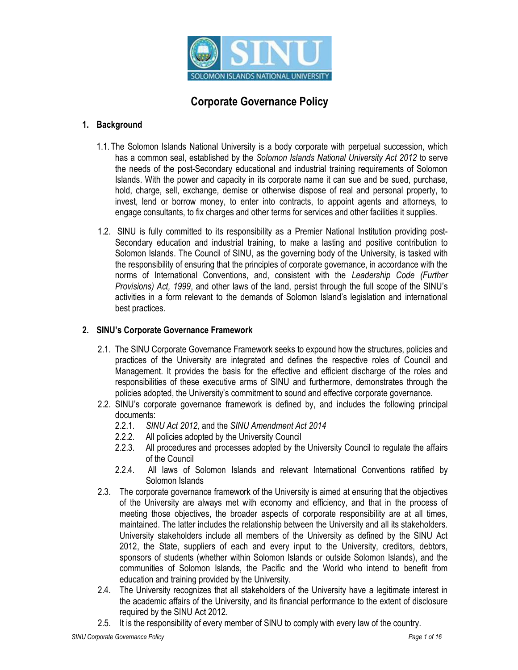

# Corporate Governance Policy

# 1. Background

- 1.1. The Solomon Islands National University is a body corporate with perpetual succession, which has a common seal, established by the Solomon Islands National University Act 2012 to serve the needs of the post-Secondary educational and industrial training requirements of Solomon Islands. With the power and capacity in its corporate name it can sue and be sued, purchase, hold, charge, sell, exchange, demise or otherwise dispose of real and personal property, to invest, lend or borrow money, to enter into contracts, to appoint agents and attorneys, to engage consultants, to fix charges and other terms for services and other facilities it supplies.
- 1.2. SINU is fully committed to its responsibility as a Premier National Institution providing post-Secondary education and industrial training, to make a lasting and positive contribution to Solomon Islands. The Council of SINU, as the governing body of the University, is tasked with the responsibility of ensuring that the principles of corporate governance, in accordance with the norms of International Conventions, and, consistent with the Leadership Code (Further Provisions) Act, 1999, and other laws of the land, persist through the full scope of the SINU's activities in a form relevant to the demands of Solomon Island's legislation and international best practices.

# 2. SINU's Corporate Governance Framework

- 2.1. The SINU Corporate Governance Framework seeks to expound how the structures, policies and practices of the University are integrated and defines the respective roles of Council and Management. It provides the basis for the effective and efficient discharge of the roles and responsibilities of these executive arms of SINU and furthermore, demonstrates through the policies adopted, the University's commitment to sound and effective corporate governance.
- 2.2. SINU's corporate governance framework is defined by, and includes the following principal documents:
	- 2.2.1. SINU Act 2012, and the SINU Amendment Act 2014
	- 2.2.2. All policies adopted by the University Council
	- 2.2.3. All procedures and processes adopted by the University Council to regulate the affairs of the Council
	- 2.2.4. All laws of Solomon Islands and relevant International Conventions ratified by Solomon Islands
- 2.3. The corporate governance framework of the University is aimed at ensuring that the objectives of the University are always met with economy and efficiency, and that in the process of meeting those objectives, the broader aspects of corporate responsibility are at all times, maintained. The latter includes the relationship between the University and all its stakeholders. University stakeholders include all members of the University as defined by the SINU Act 2012, the State, suppliers of each and every input to the University, creditors, debtors, sponsors of students (whether within Solomon Islands or outside Solomon Islands), and the communities of Solomon Islands, the Pacific and the World who intend to benefit from education and training provided by the University.
- 2.4. The University recognizes that all stakeholders of the University have a legitimate interest in the academic affairs of the University, and its financial performance to the extent of disclosure required by the SINU Act 2012.
- 2.5. It is the responsibility of every member of SINU to comply with every law of the country.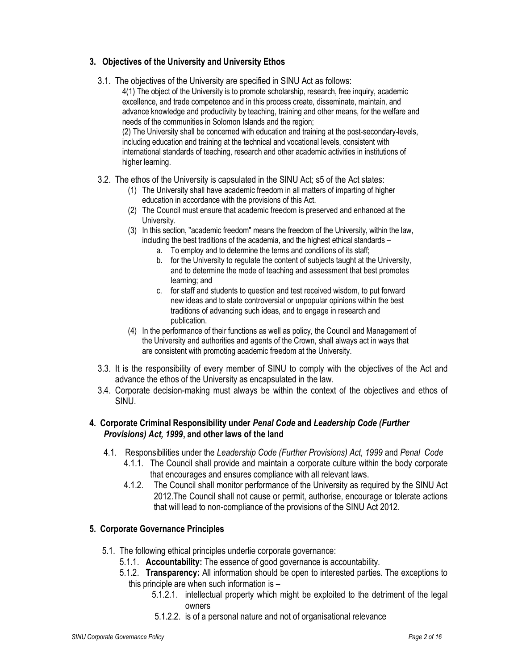# 3. Objectives of the University and University Ethos

3.1. The objectives of the University are specified in SINU Act as follows:

4(1) The object of the University is to promote scholarship, research, free inquiry, academic excellence, and trade competence and in this process create, disseminate, maintain, and advance knowledge and productivity by teaching, training and other means, for the welfare and needs of the communities in Solomon Islands and the region; (2) The University shall be concerned with education and training at the post-secondary-levels, including education and training at the technical and vocational levels, consistent with international standards of teaching, research and other academic activities in institutions of higher learning.

- 3.2. The ethos of the University is capsulated in the SINU Act; s5 of the Act states:
	- (1) The University shall have academic freedom in all matters of imparting of higher education in accordance with the provisions of this Act.
	- (2) The Council must ensure that academic freedom is preserved and enhanced at the University.
	- (3) In this section, "academic freedom" means the freedom of the University, within the law, including the best traditions of the academia, and the highest ethical standards –
		- a. To employ and to determine the terms and conditions of its staff;
		- b. for the University to regulate the content of subjects taught at the University, and to determine the mode of teaching and assessment that best promotes learning; and
		- c. for staff and students to question and test received wisdom, to put forward new ideas and to state controversial or unpopular opinions within the best traditions of advancing such ideas, and to engage in research and publication.
	- (4) In the performance of their functions as well as policy, the Council and Management of the University and authorities and agents of the Crown, shall always act in ways that are consistent with promoting academic freedom at the University.
- 3.3. It is the responsibility of every member of SINU to comply with the objectives of the Act and advance the ethos of the University as encapsulated in the law.
- 3.4. Corporate decision-making must always be within the context of the objectives and ethos of SINU.

# 4. Corporate Criminal Responsibility under Penal Code and Leadership Code (Further Provisions) Act, 1999, and other laws of the land

- 4.1. Responsibilities under the Leadership Code (Further Provisions) Act, 1999 and Penal Code
	- 4.1.1. The Council shall provide and maintain a corporate culture within the body corporate that encourages and ensures compliance with all relevant laws.
	- 4.1.2. The Council shall monitor performance of the University as required by the SINU Act 2012.The Council shall not cause or permit, authorise, encourage or tolerate actions that will lead to non-compliance of the provisions of the SINU Act 2012.

# 5. Corporate Governance Principles

- 5.1. The following ethical principles underlie corporate governance:
	- 5.1.1. Accountability: The essence of good governance is accountability.
	- 5.1.2. Transparency: All information should be open to interested parties. The exceptions to this principle are when such information is –
		- 5.1.2.1. intellectual property which might be exploited to the detriment of the legal owners
		- 5.1.2.2. is of a personal nature and not of organisational relevance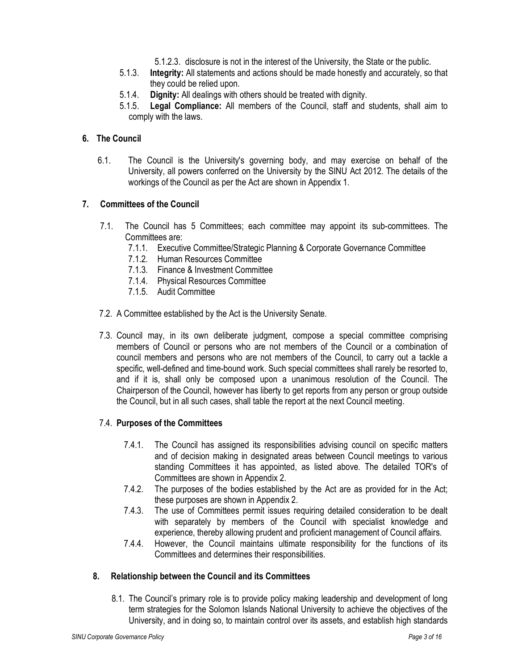- 5.1.2.3. disclosure is not in the interest of the University, the State or the public.
- 5.1.3. Integrity: All statements and actions should be made honestly and accurately, so that they could be relied upon.
- 5.1.4. Dignity: All dealings with others should be treated with dignity.
- 5.1.5. Legal Compliance: All members of the Council, staff and students, shall aim to comply with the laws.

# 6. The Council

6.1. The Council is the University's governing body, and may exercise on behalf of the University, all powers conferred on the University by the SINU Act 2012. The details of the workings of the Council as per the Act are shown in Appendix 1.

### 7. Committees of the Council

- 7.1. The Council has 5 Committees; each committee may appoint its sub-committees. The Committees are:
	- 7.1.1. Executive Committee/Strategic Planning & Corporate Governance Committee
	- 7.1.2. Human Resources Committee
	- 7.1.3. Finance & Investment Committee
	- 7.1.4. Physical Resources Committee
	- 7.1.5. Audit Committee
- 7.2. A Committee established by the Act is the University Senate.
- 7.3. Council may, in its own deliberate judgment, compose a special committee comprising members of Council or persons who are not members of the Council or a combination of council members and persons who are not members of the Council, to carry out a tackle a specific, well-defined and time-bound work. Such special committees shall rarely be resorted to, and if it is, shall only be composed upon a unanimous resolution of the Council. The Chairperson of the Council, however has liberty to get reports from any person or group outside the Council, but in all such cases, shall table the report at the next Council meeting.

### 7.4. Purposes of the Committees

- 7.4.1. The Council has assigned its responsibilities advising council on specific matters and of decision making in designated areas between Council meetings to various standing Committees it has appointed, as listed above. The detailed TOR's of Committees are shown in Appendix 2.
- 7.4.2. The purposes of the bodies established by the Act are as provided for in the Act; these purposes are shown in Appendix 2.
- 7.4.3. The use of Committees permit issues requiring detailed consideration to be dealt with separately by members of the Council with specialist knowledge and experience, thereby allowing prudent and proficient management of Council affairs.
- 7.4.4. However, the Council maintains ultimate responsibility for the functions of its Committees and determines their responsibilities.

### 8. Relationship between the Council and its Committees

8.1. The Council's primary role is to provide policy making leadership and development of long term strategies for the Solomon Islands National University to achieve the objectives of the University, and in doing so, to maintain control over its assets, and establish high standards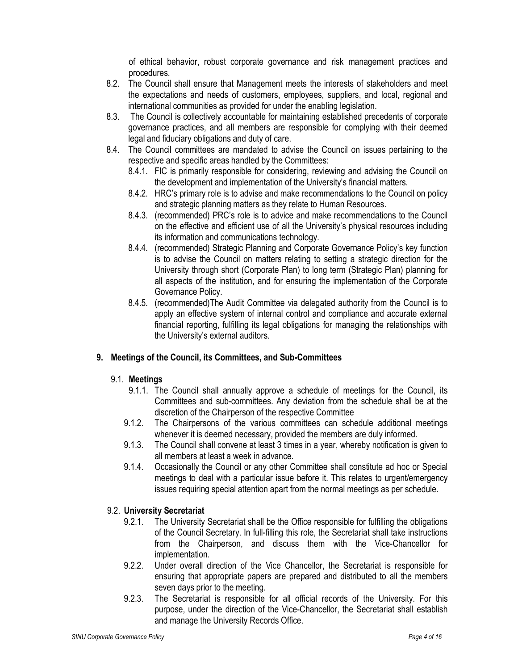of ethical behavior, robust corporate governance and risk management practices and procedures.

- 8.2. The Council shall ensure that Management meets the interests of stakeholders and meet the expectations and needs of customers, employees, suppliers, and local, regional and international communities as provided for under the enabling legislation.
- 8.3. The Council is collectively accountable for maintaining established precedents of corporate governance practices, and all members are responsible for complying with their deemed legal and fiduciary obligations and duty of care.
- 8.4. The Council committees are mandated to advise the Council on issues pertaining to the respective and specific areas handled by the Committees:
	- 8.4.1. FIC is primarily responsible for considering, reviewing and advising the Council on the development and implementation of the University's financial matters.
	- 8.4.2. HRC's primary role is to advise and make recommendations to the Council on policy and strategic planning matters as they relate to Human Resources.
	- 8.4.3. (recommended) PRC's role is to advice and make recommendations to the Council on the effective and efficient use of all the University's physical resources including its information and communications technology.
	- 8.4.4. (recommended) Strategic Planning and Corporate Governance Policy's key function is to advise the Council on matters relating to setting a strategic direction for the University through short (Corporate Plan) to long term (Strategic Plan) planning for all aspects of the institution, and for ensuring the implementation of the Corporate Governance Policy.
	- 8.4.5. (recommended)The Audit Committee via delegated authority from the Council is to apply an effective system of internal control and compliance and accurate external financial reporting, fulfilling its legal obligations for managing the relationships with the University's external auditors.

# 9. Meetings of the Council, its Committees, and Sub-Committees

# 9.1. Meetings

- 9.1.1. The Council shall annually approve a schedule of meetings for the Council, its Committees and sub-committees. Any deviation from the schedule shall be at the discretion of the Chairperson of the respective Committee
- 9.1.2. The Chairpersons of the various committees can schedule additional meetings whenever it is deemed necessary, provided the members are duly informed.
- 9.1.3. The Council shall convene at least 3 times in a year, whereby notification is given to all members at least a week in advance.
- 9.1.4. Occasionally the Council or any other Committee shall constitute ad hoc or Special meetings to deal with a particular issue before it. This relates to urgent/emergency issues requiring special attention apart from the normal meetings as per schedule.

# 9.2. University Secretariat

- 9.2.1. The University Secretariat shall be the Office responsible for fulfilling the obligations of the Council Secretary. In full-filling this role, the Secretariat shall take instructions from the Chairperson, and discuss them with the Vice-Chancellor for implementation.
- 9.2.2. Under overall direction of the Vice Chancellor, the Secretariat is responsible for ensuring that appropriate papers are prepared and distributed to all the members seven days prior to the meeting.
- 9.2.3. The Secretariat is responsible for all official records of the University. For this purpose, under the direction of the Vice-Chancellor, the Secretariat shall establish and manage the University Records Office.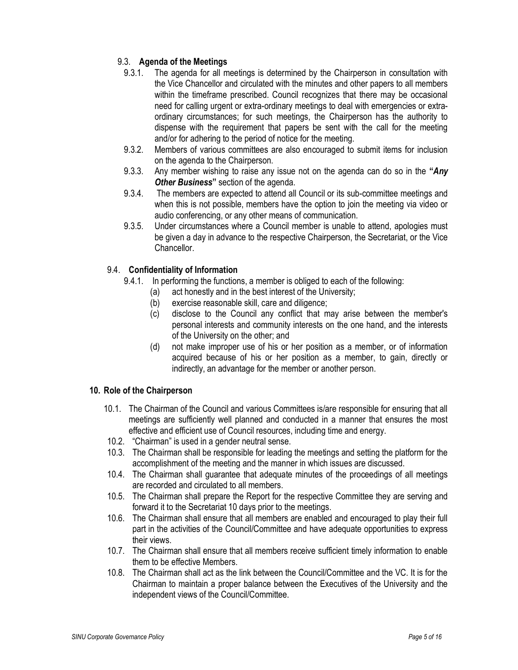# 9.3. Agenda of the Meetings

- 9.3.1. The agenda for all meetings is determined by the Chairperson in consultation with the Vice Chancellor and circulated with the minutes and other papers to all members within the timeframe prescribed. Council recognizes that there may be occasional need for calling urgent or extra-ordinary meetings to deal with emergencies or extraordinary circumstances; for such meetings, the Chairperson has the authority to dispense with the requirement that papers be sent with the call for the meeting and/or for adhering to the period of notice for the meeting.
- 9.3.2. Members of various committees are also encouraged to submit items for inclusion on the agenda to the Chairperson.
- 9.3.3. Any member wishing to raise any issue not on the agenda can do so in the " $Any$ Other Business" section of the agenda.
- 9.3.4. The members are expected to attend all Council or its sub-committee meetings and when this is not possible, members have the option to join the meeting via video or audio conferencing, or any other means of communication.
- 9.3.5. Under circumstances where a Council member is unable to attend, apologies must be given a day in advance to the respective Chairperson, the Secretariat, or the Vice Chancellor.

# 9.4. Confidentiality of Information

- 9.4.1. In performing the functions, a member is obliged to each of the following:
	- (a) act honestly and in the best interest of the University;
	- (b) exercise reasonable skill, care and diligence;
	- (c) disclose to the Council any conflict that may arise between the member's personal interests and community interests on the one hand, and the interests of the University on the other; and
	- (d) not make improper use of his or her position as a member, or of information acquired because of his or her position as a member, to gain, directly or indirectly, an advantage for the member or another person.

### 10. Role of the Chairperson

- 10.1. The Chairman of the Council and various Committees is/are responsible for ensuring that all meetings are sufficiently well planned and conducted in a manner that ensures the most effective and efficient use of Council resources, including time and energy.
- 10.2. "Chairman" is used in a gender neutral sense.
- 10.3. The Chairman shall be responsible for leading the meetings and setting the platform for the accomplishment of the meeting and the manner in which issues are discussed.
- 10.4. The Chairman shall guarantee that adequate minutes of the proceedings of all meetings are recorded and circulated to all members.
- 10.5. The Chairman shall prepare the Report for the respective Committee they are serving and forward it to the Secretariat 10 days prior to the meetings.
- 10.6. The Chairman shall ensure that all members are enabled and encouraged to play their full part in the activities of the Council/Committee and have adequate opportunities to express their views.
- 10.7. The Chairman shall ensure that all members receive sufficient timely information to enable them to be effective Members.
- 10.8. The Chairman shall act as the link between the Council/Committee and the VC. It is for the Chairman to maintain a proper balance between the Executives of the University and the independent views of the Council/Committee.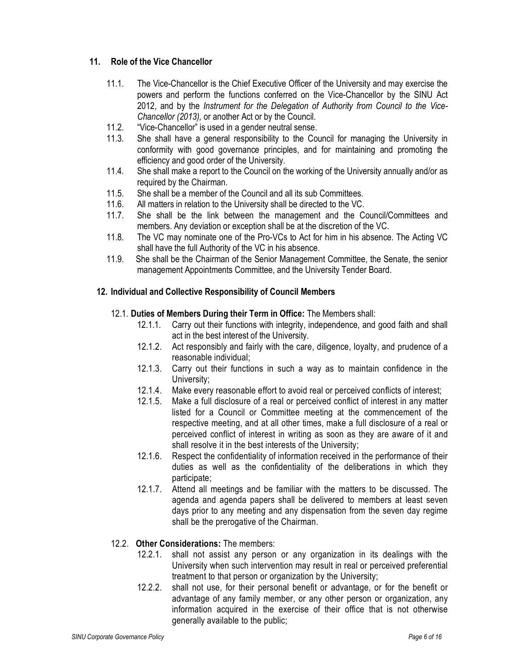### 11. Role of the Vice Chancellor

- 11.1. The Vice-Chancellor is the Chief Executive Officer of the University and may exercise the powers and perform the functions conferred on the Vice-Chancellor by the SINU Act 2012, and by the Instrument for the Delegation of Authority from Council to the Vice-Chancellor (2013), or another Act or by the Council.
- 11.2. "Vice-Chancellor" is used in a gender neutral sense.
- 11.3. She shall have a general responsibility to the Council for managing the University in conformity with good governance principles, and for maintaining and promoting the efficiency and good order of the University.
- 11.4. She shall make a report to the Council on the working of the University annually and/or as required by the Chairman.
- 11.5. She shall be a member of the Council and all its sub Committees.
- 11.6. All matters in relation to the University shall be directed to the VC.
- 11.7. She shall be the link between the management and the Council/Committees and members. Any deviation or exception shall be at the discretion of the VC.
- 11.8. The VC may nominate one of the Pro-VCs to Act for him in his absence. The Acting VC shall have the full Authority of the VC in his absence.
- 11.9. She shall be the Chairman of the Senior Management Committee, the Senate, the senior management Appointments Committee, and the University Tender Board.

### 12. Individual and Collective Responsibility of Council Members

- 12.1. Duties of Members During their Term in Office: The Members shall:
	- 12.1.1. Carry out their functions with integrity, independence, and good faith and shall act in the best interest of the University.
	- 12.1.2. Act responsibly and fairly with the care, diligence, loyalty, and prudence of a reasonable individual;
	- 12.1.3. Carry out their functions in such a way as to maintain confidence in the University;
	- 12.1.4. Make every reasonable effort to avoid real or perceived conflicts of interest;
	- 12.1.5. Make a full disclosure of a real or perceived conflict of interest in any matter listed for a Council or Committee meeting at the commencement of the respective meeting, and at all other times, make a full disclosure of a real or perceived conflict of interest in writing as soon as they are aware of it and shall resolve it in the best interests of the University;
	- 12.1.6. Respect the confidentiality of information received in the performance of their duties as well as the confidentiality of the deliberations in which they participate;
	- 12.1.7. Attend all meetings and be familiar with the matters to be discussed. The agenda and agenda papers shall be delivered to members at least seven days prior to any meeting and any dispensation from the seven day regime shall be the prerogative of the Chairman.

### 12.2. Other Considerations: The members:

- 12.2.1. shall not assist any person or any organization in its dealings with the University when such intervention may result in real or perceived preferential treatment to that person or organization by the University;
- 12.2.2. shall not use, for their personal benefit or advantage, or for the benefit or advantage of any family member, or any other person or organization, any information acquired in the exercise of their office that is not otherwise generally available to the public;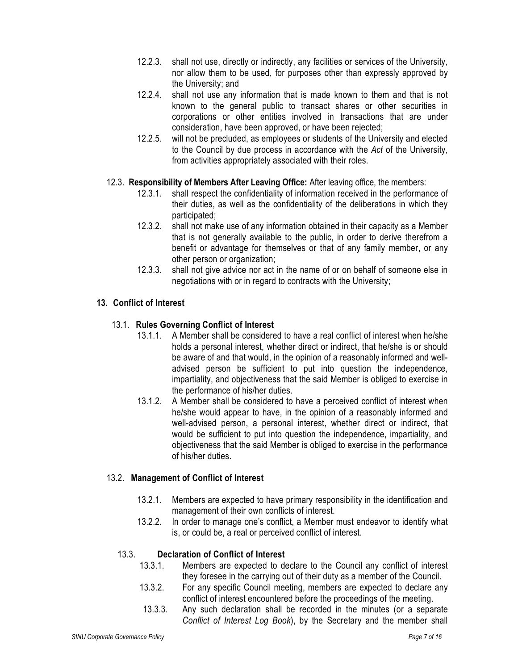- 12.2.3. shall not use, directly or indirectly, any facilities or services of the University, nor allow them to be used, for purposes other than expressly approved by the University; and
- 12.2.4. shall not use any information that is made known to them and that is not known to the general public to transact shares or other securities in corporations or other entities involved in transactions that are under consideration, have been approved, or have been rejected;
- 12.2.5. will not be precluded, as employees or students of the University and elected to the Council by due process in accordance with the Act of the University, from activities appropriately associated with their roles.

### 12.3. Responsibility of Members After Leaving Office: After leaving office, the members:

- 12.3.1. shall respect the confidentiality of information received in the performance of their duties, as well as the confidentiality of the deliberations in which they participated;
- 12.3.2. shall not make use of any information obtained in their capacity as a Member that is not generally available to the public, in order to derive therefrom a benefit or advantage for themselves or that of any family member, or any other person or organization;
- 12.3.3. shall not give advice nor act in the name of or on behalf of someone else in negotiations with or in regard to contracts with the University;

### 13. Conflict of Interest

### 13.1. Rules Governing Conflict of Interest

- 13.1.1. A Member shall be considered to have a real conflict of interest when he/she holds a personal interest, whether direct or indirect, that he/she is or should be aware of and that would, in the opinion of a reasonably informed and welladvised person be sufficient to put into question the independence, impartiality, and objectiveness that the said Member is obliged to exercise in the performance of his/her duties.
- 13.1.2. A Member shall be considered to have a perceived conflict of interest when he/she would appear to have, in the opinion of a reasonably informed and well-advised person, a personal interest, whether direct or indirect, that would be sufficient to put into question the independence, impartiality, and objectiveness that the said Member is obliged to exercise in the performance of his/her duties.

### 13.2. Management of Conflict of Interest

- 13.2.1. Members are expected to have primary responsibility in the identification and management of their own conflicts of interest.
- 13.2.2. In order to manage one's conflict, a Member must endeavor to identify what is, or could be, a real or perceived conflict of interest.

### 13.3. Declaration of Conflict of Interest

- 13.3.1. Members are expected to declare to the Council any conflict of interest they foresee in the carrying out of their duty as a member of the Council.
- 13.3.2. For any specific Council meeting, members are expected to declare any conflict of interest encountered before the proceedings of the meeting.
- 13.3.3. Any such declaration shall be recorded in the minutes (or a separate Conflict of Interest Log Book), by the Secretary and the member shall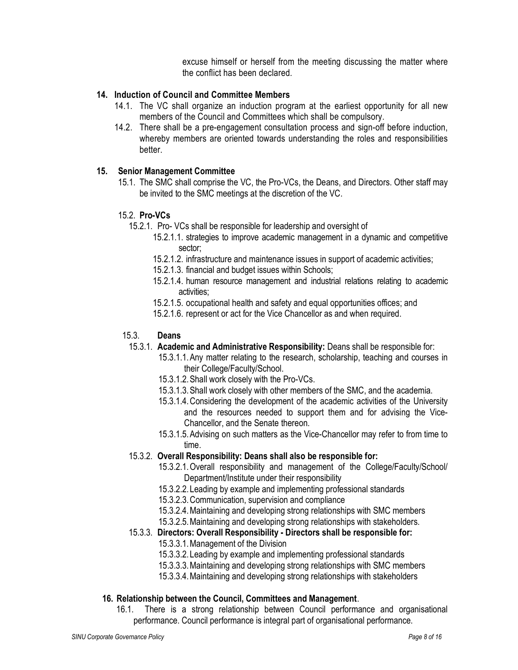excuse himself or herself from the meeting discussing the matter where the conflict has been declared.

### 14. Induction of Council and Committee Members

- 14.1. The VC shall organize an induction program at the earliest opportunity for all new members of the Council and Committees which shall be compulsory.
- 14.2. There shall be a pre-engagement consultation process and sign-off before induction, whereby members are oriented towards understanding the roles and responsibilities better.

### 15. Senior Management Committee

15.1. The SMC shall comprise the VC, the Pro-VCs, the Deans, and Directors. Other staff may be invited to the SMC meetings at the discretion of the VC.

### 15.2. Pro-VCs

- 15.2.1. Pro- VCs shall be responsible for leadership and oversight of
	- 15.2.1.1. strategies to improve academic management in a dynamic and competitive sector;
	- 15.2.1.2. infrastructure and maintenance issues in support of academic activities;
	- 15.2.1.3. financial and budget issues within Schools;
	- 15.2.1.4. human resource management and industrial relations relating to academic activities;
	- 15.2.1.5. occupational health and safety and equal opportunities offices; and
	- 15.2.1.6. represent or act for the Vice Chancellor as and when required.

### 15.3. Deans

- 15.3.1. Academic and Administrative Responsibility: Deans shall be responsible for:
	- 15.3.1.1.Any matter relating to the research, scholarship, teaching and courses in their College/Faculty/School.
	- 15.3.1.2.Shall work closely with the Pro-VCs.
	- 15.3.1.3.Shall work closely with other members of the SMC, and the academia.
	- 15.3.1.4.Considering the development of the academic activities of the University and the resources needed to support them and for advising the Vice-Chancellor, and the Senate thereon.
	- 15.3.1.5.Advising on such matters as the Vice-Chancellor may refer to from time to time.
- 15.3.2. Overall Responsibility: Deans shall also be responsible for:
	- 15.3.2.1.Overall responsibility and management of the College/Faculty/School/ Department/Institute under their responsibility
	- 15.3.2.2.Leading by example and implementing professional standards
	- 15.3.2.3.Communication, supervision and compliance
	- 15.3.2.4.Maintaining and developing strong relationships with SMC members
	- 15.3.2.5.Maintaining and developing strong relationships with stakeholders.
- 15.3.3. Directors: Overall Responsibility Directors shall be responsible for:
	- 15.3.3.1.Management of the Division
	- 15.3.3.2.Leading by example and implementing professional standards
	- 15.3.3.3.Maintaining and developing strong relationships with SMC members
	- 15.3.3.4.Maintaining and developing strong relationships with stakeholders

### 16. Relationship between the Council, Committees and Management.

16.1. There is a strong relationship between Council performance and organisational performance. Council performance is integral part of organisational performance.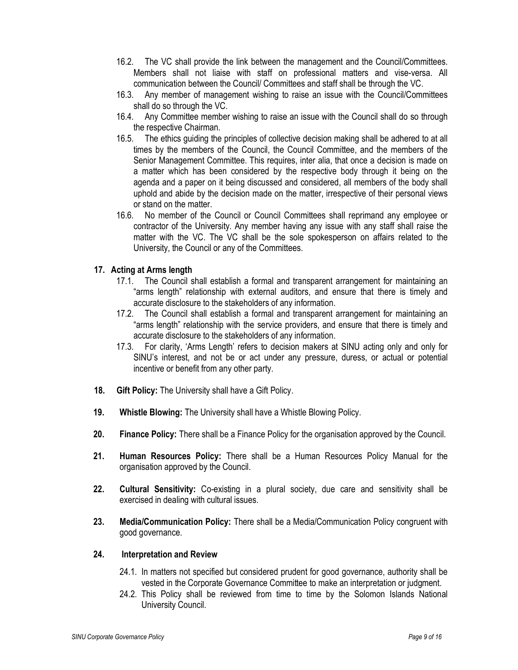- 16.2. The VC shall provide the link between the management and the Council/Committees. Members shall not liaise with staff on professional matters and vise-versa. All communication between the Council/ Committees and staff shall be through the VC.
- 16.3. Any member of management wishing to raise an issue with the Council/Committees shall do so through the VC.
- 16.4. Any Committee member wishing to raise an issue with the Council shall do so through the respective Chairman.
- 16.5. The ethics guiding the principles of collective decision making shall be adhered to at all times by the members of the Council, the Council Committee, and the members of the Senior Management Committee. This requires, inter alia, that once a decision is made on a matter which has been considered by the respective body through it being on the agenda and a paper on it being discussed and considered, all members of the body shall uphold and abide by the decision made on the matter, irrespective of their personal views or stand on the matter.
- 16.6. No member of the Council or Council Committees shall reprimand any employee or contractor of the University. Any member having any issue with any staff shall raise the matter with the VC. The VC shall be the sole spokesperson on affairs related to the University, the Council or any of the Committees.

### 17. Acting at Arms length

- 17.1. The Council shall establish a formal and transparent arrangement for maintaining an "arms length" relationship with external auditors, and ensure that there is timely and accurate disclosure to the stakeholders of any information.
- 17.2. The Council shall establish a formal and transparent arrangement for maintaining an "arms length" relationship with the service providers, and ensure that there is timely and accurate disclosure to the stakeholders of any information.
- 17.3. For clarity, 'Arms Length' refers to decision makers at SINU acting only and only for SINU's interest, and not be or act under any pressure, duress, or actual or potential incentive or benefit from any other party.
- 18. Gift Policy: The University shall have a Gift Policy.
- 19. Whistle Blowing: The University shall have a Whistle Blowing Policy.
- 20. Finance Policy: There shall be a Finance Policy for the organisation approved by the Council.
- 21. Human Resources Policy: There shall be a Human Resources Policy Manual for the organisation approved by the Council.
- 22. Cultural Sensitivity: Co-existing in a plural society, due care and sensitivity shall be exercised in dealing with cultural issues.
- 23. Media/Communication Policy: There shall be a Media/Communication Policy congruent with good governance.

### 24. Interpretation and Review

- 24.1. In matters not specified but considered prudent for good governance, authority shall be vested in the Corporate Governance Committee to make an interpretation or judgment.
- 24.2. This Policy shall be reviewed from time to time by the Solomon Islands National University Council.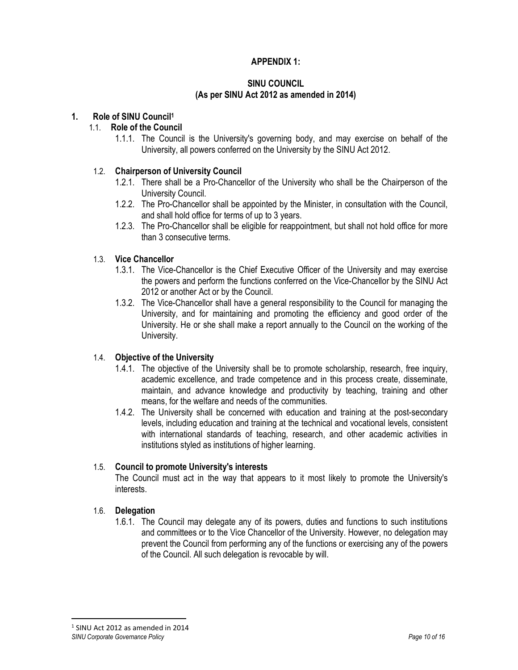### APPENDIX 1:

### SINU COUNCIL (As per SINU Act 2012 as amended in 2014)

### 1. Role of SINU Council<sup>1</sup>

### 1.1. Role of the Council

1.1.1. The Council is the University's governing body, and may exercise on behalf of the University, all powers conferred on the University by the SINU Act 2012.

### 1.2. Chairperson of University Council

- 1.2.1. There shall be a Pro-Chancellor of the University who shall be the Chairperson of the University Council.
- 1.2.2. The Pro-Chancellor shall be appointed by the Minister, in consultation with the Council, and shall hold office for terms of up to 3 years.
- 1.2.3. The Pro-Chancellor shall be eligible for reappointment, but shall not hold office for more than 3 consecutive terms.

### 1.3. Vice Chancellor

- 1.3.1. The Vice-Chancellor is the Chief Executive Officer of the University and may exercise the powers and perform the functions conferred on the Vice-Chancellor by the SINU Act 2012 or another Act or by the Council.
- 1.3.2. The Vice-Chancellor shall have a general responsibility to the Council for managing the University, and for maintaining and promoting the efficiency and good order of the University. He or she shall make a report annually to the Council on the working of the University.

### 1.4. Objective of the University

- 1.4.1. The objective of the University shall be to promote scholarship, research, free inquiry, academic excellence, and trade competence and in this process create, disseminate, maintain, and advance knowledge and productivity by teaching, training and other means, for the welfare and needs of the communities.
- 1.4.2. The University shall be concerned with education and training at the post-secondary levels, including education and training at the technical and vocational levels, consistent with international standards of teaching, research, and other academic activities in institutions styled as institutions of higher learning.

### 1.5. Council to promote University's interests

The Council must act in the way that appears to it most likely to promote the University's interests.

### 1.6. Delegation

1.6.1. The Council may delegate any of its powers, duties and functions to such institutions and committees or to the Vice Chancellor of the University. However, no delegation may prevent the Council from performing any of the functions or exercising any of the powers of the Council. All such delegation is revocable by will.

1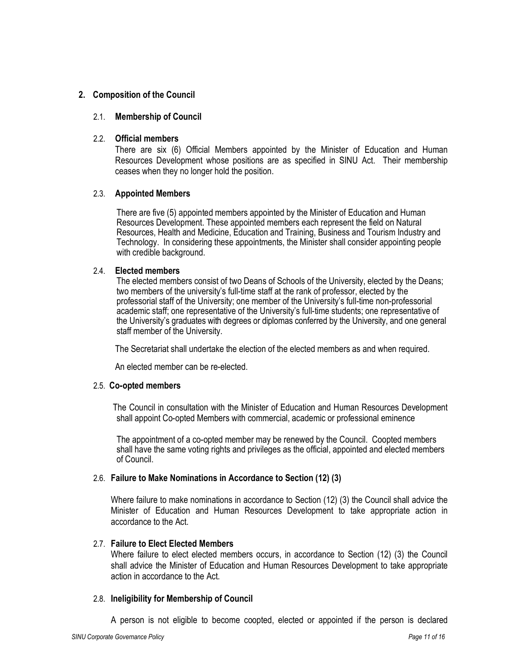### 2. Composition of the Council

### 2.1. Membership of Council

### 2.2. Official members

There are six (6) Official Members appointed by the Minister of Education and Human Resources Development whose positions are as specified in SINU Act. Their membership ceases when they no longer hold the position.

### 2.3. Appointed Members

There are five (5) appointed members appointed by the Minister of Education and Human Resources Development. These appointed members each represent the field on Natural Resources, Health and Medicine, Education and Training, Business and Tourism Industry and Technology. In considering these appointments, the Minister shall consider appointing people with credible background.

### 2.4. Elected members

The elected members consist of two Deans of Schools of the University, elected by the Deans; two members of the university's full-time staff at the rank of professor, elected by the professorial staff of the University; one member of the University's full-time non-professorial academic staff; one representative of the University's full-time students; one representative of the University's graduates with degrees or diplomas conferred by the University, and one general staff member of the University.

The Secretariat shall undertake the election of the elected members as and when required.

An elected member can be re-elected.

### 2.5. Co-opted members

The Council in consultation with the Minister of Education and Human Resources Development shall appoint Co-opted Members with commercial, academic or professional eminence

 The appointment of a co-opted member may be renewed by the Council. Coopted members shall have the same voting rights and privileges as the official, appointed and elected members of Council.

### 2.6. Failure to Make Nominations in Accordance to Section (12) (3)

Where failure to make nominations in accordance to Section (12) (3) the Council shall advice the Minister of Education and Human Resources Development to take appropriate action in accordance to the Act.

### 2.7. Failure to Elect Elected Members

Where failure to elect elected members occurs, in accordance to Section (12) (3) the Council shall advice the Minister of Education and Human Resources Development to take appropriate action in accordance to the Act.

### 2.8. Ineligibility for Membership of Council

A person is not eligible to become coopted, elected or appointed if the person is declared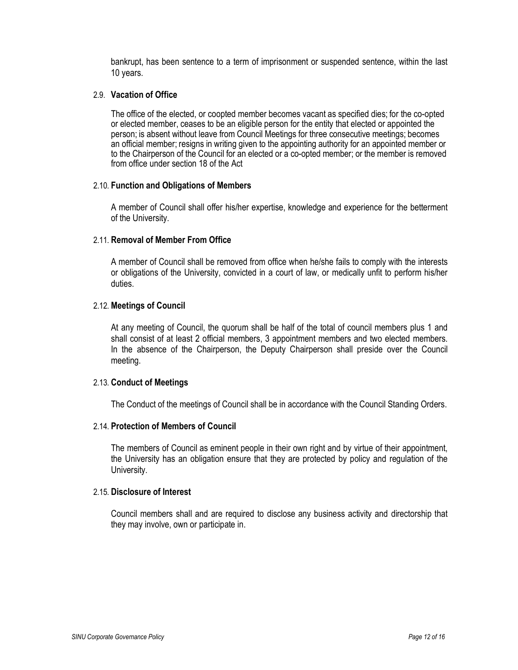bankrupt, has been sentence to a term of imprisonment or suspended sentence, within the last 10 years.

#### 2.9. Vacation of Office

The office of the elected, or coopted member becomes vacant as specified dies; for the co-opted or elected member, ceases to be an eligible person for the entity that elected or appointed the person; is absent without leave from Council Meetings for three consecutive meetings; becomes an official member; resigns in writing given to the appointing authority for an appointed member or to the Chairperson of the Council for an elected or a co-opted member; or the member is removed from office under section 18 of the Act

#### 2.10. Function and Obligations of Members

A member of Council shall offer his/her expertise, knowledge and experience for the betterment of the University.

#### 2.11. Removal of Member From Office

A member of Council shall be removed from office when he/she fails to comply with the interests or obligations of the University, convicted in a court of law, or medically unfit to perform his/her duties.

#### 2.12. Meetings of Council

At any meeting of Council, the quorum shall be half of the total of council members plus 1 and shall consist of at least 2 official members, 3 appointment members and two elected members. In the absence of the Chairperson, the Deputy Chairperson shall preside over the Council meeting.

#### 2.13. Conduct of Meetings

The Conduct of the meetings of Council shall be in accordance with the Council Standing Orders.

#### 2.14. Protection of Members of Council

The members of Council as eminent people in their own right and by virtue of their appointment, the University has an obligation ensure that they are protected by policy and regulation of the University.

#### 2.15. Disclosure of Interest

Council members shall and are required to disclose any business activity and directorship that they may involve, own or participate in.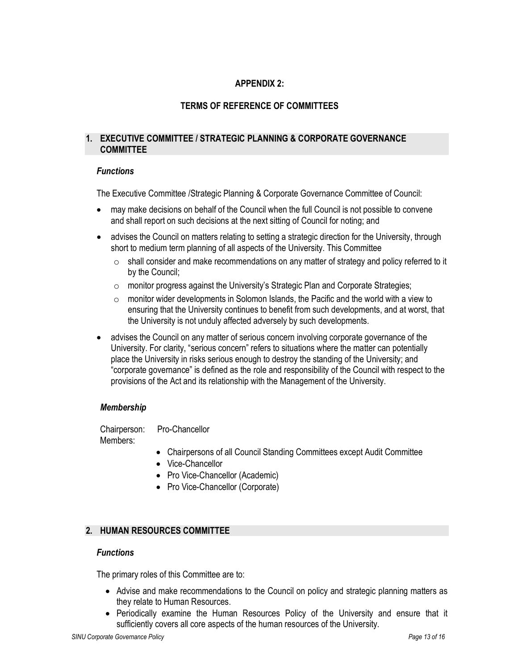# APPENDIX 2:

# TERMS OF REFERENCE OF COMMITTEES

### 1. EXECUTIVE COMMITTEE / STRATEGIC PLANNING & CORPORATE GOVERNANCE **COMMITTEE**

### Functions

The Executive Committee /Strategic Planning & Corporate Governance Committee of Council:

- may make decisions on behalf of the Council when the full Council is not possible to convene and shall report on such decisions at the next sitting of Council for noting; and
- advises the Council on matters relating to setting a strategic direction for the University, through short to medium term planning of all aspects of the University. This Committee
	- $\circ$  shall consider and make recommendations on any matter of strategy and policy referred to it by the Council;
	- $\circ$  monitor progress against the University's Strategic Plan and Corporate Strategies;
	- $\circ$  monitor wider developments in Solomon Islands, the Pacific and the world with a view to ensuring that the University continues to benefit from such developments, and at worst, that the University is not unduly affected adversely by such developments.
- advises the Council on any matter of serious concern involving corporate governance of the University. For clarity, "serious concern" refers to situations where the matter can potentially place the University in risks serious enough to destroy the standing of the University; and "corporate governance" is defined as the role and responsibility of the Council with respect to the provisions of the Act and its relationship with the Management of the University.

# Membership

 Chairperson: Pro-Chancellor Members:

- Chairpersons of all Council Standing Committees except Audit Committee
- Vice-Chancellor
- Pro Vice-Chancellor (Academic)
- Pro Vice-Chancellor (Corporate)

### 2. HUMAN RESOURCES COMMITTEE

### **Functions**

The primary roles of this Committee are to:

- Advise and make recommendations to the Council on policy and strategic planning matters as they relate to Human Resources.
- Periodically examine the Human Resources Policy of the University and ensure that it sufficiently covers all core aspects of the human resources of the University.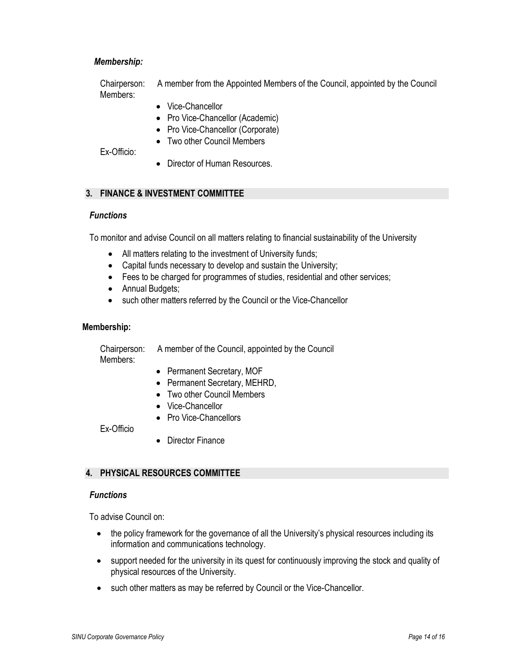### Membership:

 Chairperson: A member from the Appointed Members of the Council, appointed by the Council Members:

- Vice-Chancellor
- Pro Vice-Chancellor (Academic)
- Pro Vice-Chancellor (Corporate)
- Two other Council Members

Ex-Officio:

• Director of Human Resources.

### 3. FINANCE & INVESTMENT COMMITTEE

#### **Functions**

To monitor and advise Council on all matters relating to financial sustainability of the University

- All matters relating to the investment of University funds;
- Capital funds necessary to develop and sustain the University;
- Fees to be charged for programmes of studies, residential and other services;
- Annual Budgets;
- such other matters referred by the Council or the Vice-Chancellor

### Membership:

 Chairperson: A member of the Council, appointed by the Council Members:

- Permanent Secretary, MOF
- Permanent Secretary, MEHRD,
- Two other Council Members
- Vice-Chancellor
- Pro Vice-Chancellors

Ex-Officio

• Director Finance

# 4. PHYSICAL RESOURCES COMMITTEE

#### **Functions**

To advise Council on:

- the policy framework for the governance of all the University's physical resources including its information and communications technology.
- support needed for the university in its quest for continuously improving the stock and quality of physical resources of the University.
- such other matters as may be referred by Council or the Vice-Chancellor.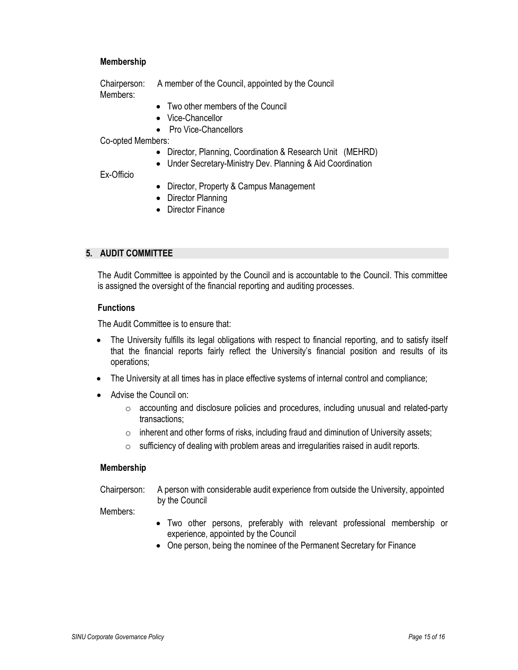### Membership

 Chairperson: A member of the Council, appointed by the Council Members:

- Two other members of the Council
- Vice-Chancellor
- Pro Vice-Chancellors

Co-opted Members:

- Director, Planning, Coordination & Research Unit (MEHRD)
- Under Secretary-Ministry Dev. Planning & Aid Coordination

#### Ex-Officio

- Director, Property & Campus Management
- Director Planning
- Director Finance

### 5. AUDIT COMMITTEE

The Audit Committee is appointed by the Council and is accountable to the Council. This committee is assigned the oversight of the financial reporting and auditing processes.

#### Functions

The Audit Committee is to ensure that:

- The University fulfills its legal obligations with respect to financial reporting, and to satisfy itself that the financial reports fairly reflect the University's financial position and results of its operations;
- The University at all times has in place effective systems of internal control and compliance;
- Advise the Council on:
	- $\circ$  accounting and disclosure policies and procedures, including unusual and related-party transactions;
	- $\circ$  inherent and other forms of risks, including fraud and diminution of University assets;
	- $\circ$  sufficiency of dealing with problem areas and irregularities raised in audit reports.

### Membership

### Chairperson: A person with considerable audit experience from outside the University, appointed by the Council

Members:

- Two other persons, preferably with relevant professional membership or experience, appointed by the Council
- One person, being the nominee of the Permanent Secretary for Finance